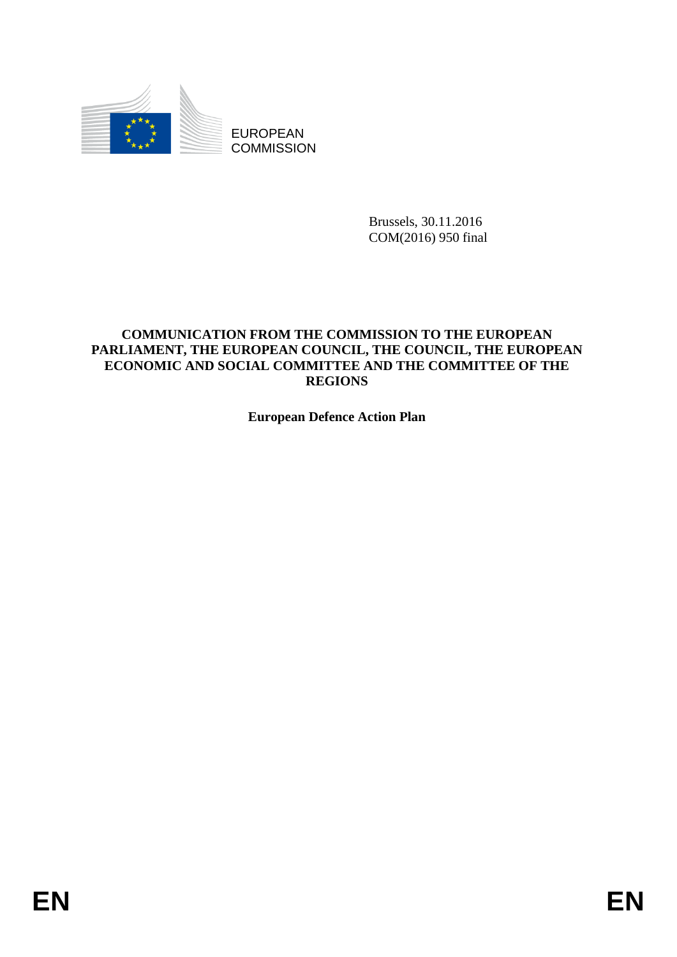

EUROPEAN **COMMISSION** 

> Brussels, 30.11.2016 COM(2016) 950 final

# **COMMUNICATION FROM THE COMMISSION TO THE EUROPEAN PARLIAMENT, THE EUROPEAN COUNCIL, THE COUNCIL, THE EUROPEAN ECONOMIC AND SOCIAL COMMITTEE AND THE COMMITTEE OF THE REGIONS**

**European Defence Action Plan**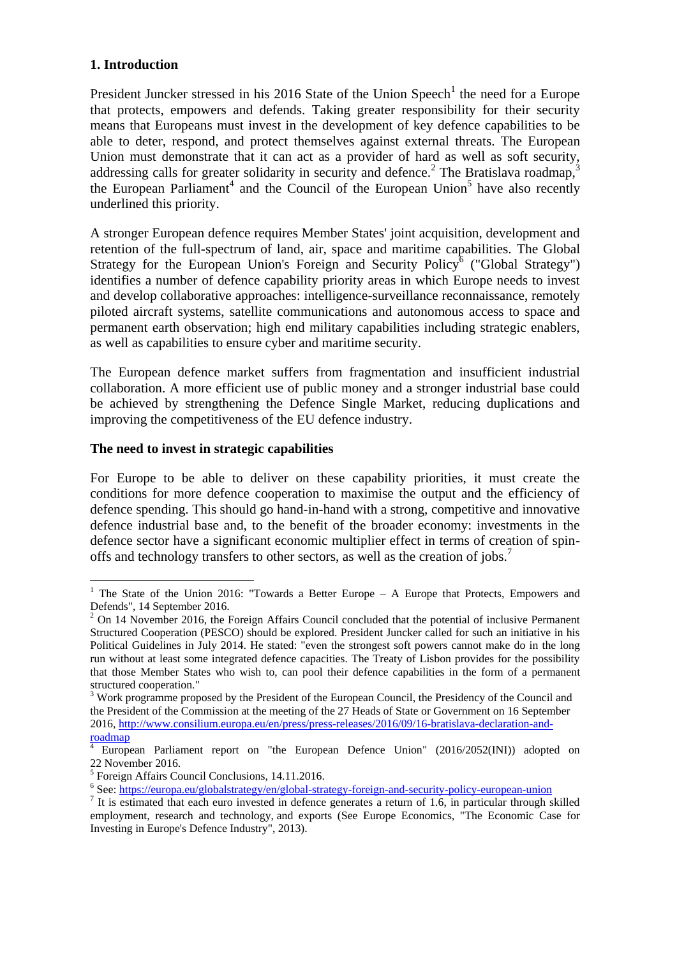# **1. Introduction**

 $\overline{a}$ 

President Juncker stressed in his 2016 State of the Union Speech<sup>1</sup> the need for a Europe that protects, empowers and defends. Taking greater responsibility for their security means that Europeans must invest in the development of key defence capabilities to be able to deter, respond, and protect themselves against external threats. The European Union must demonstrate that it can act as a provider of hard as well as soft security, addressing calls for greater solidarity in security and defence.<sup>2</sup> The Bratislava roadmap,<sup>3</sup> the European Parliament<sup>4</sup> and the Council of the European Union<sup>5</sup> have also recently underlined this priority.

A stronger European defence requires Member States' joint acquisition, development and retention of the full-spectrum of land, air, space and maritime capabilities. The Global Strategy for the European Union's Foreign and Security Policy<sup>6</sup> ("Global Strategy") identifies a number of defence capability priority areas in which Europe needs to invest and develop collaborative approaches: intelligence-surveillance reconnaissance, remotely piloted aircraft systems, satellite communications and autonomous access to space and permanent earth observation; high end military capabilities including strategic enablers, as well as capabilities to ensure cyber and maritime security.

The European defence market suffers from fragmentation and insufficient industrial collaboration. A more efficient use of public money and a stronger industrial base could be achieved by strengthening the Defence Single Market, reducing duplications and improving the competitiveness of the EU defence industry.

# **The need to invest in strategic capabilities**

For Europe to be able to deliver on these capability priorities, it must create the conditions for more defence cooperation to maximise the output and the efficiency of defence spending. This should go hand-in-hand with a strong, competitive and innovative defence industrial base and, to the benefit of the broader economy: investments in the defence sector have a significant economic multiplier effect in terms of creation of spinoffs and technology transfers to other sectors, as well as the creation of jobs.<sup>7</sup>

<sup>&</sup>lt;sup>1</sup> The State of the Union 2016: "Towards a Better Europe – A Europe that Protects, Empowers and Defends", 14 September 2016.

<sup>&</sup>lt;sup>2</sup> On 14 November 2016, the Foreign Affairs Council concluded that the potential of inclusive Permanent Structured Cooperation (PESCO) should be explored. President Juncker called for such an initiative in his Political Guidelines in July 2014. He stated: "even the strongest soft powers cannot make do in the long run without at least some integrated defence capacities. The Treaty of Lisbon provides for the possibility that those Member States who wish to, can pool their defence capabilities in the form of a permanent structured cooperation."

<sup>&</sup>lt;sup>3</sup> Work programme proposed by the President of the European Council, the Presidency of the Council and the President of the Commission at the meeting of the 27 Heads of State or Government on 16 September 2016, [http://www.consilium.europa.eu/en/press/press-releases/2016/09/16-bratislava-declaration-and](http://www.consilium.europa.eu/en/press/press-releases/2016/09/16-bratislava-declaration-and-roadmap)[roadmap](http://www.consilium.europa.eu/en/press/press-releases/2016/09/16-bratislava-declaration-and-roadmap)

European Parliament report on "the European Defence Union" (2016/2052(INI)) adopted on 22 November 2016.

<sup>&</sup>lt;sup>5</sup> Foreign Affairs Council Conclusions, 14.11.2016.

<sup>&</sup>lt;sup>6</sup> See:<https://europa.eu/globalstrategy/en/global-strategy-foreign-and-security-policy-european-union>

<sup>&</sup>lt;sup>7</sup> It is estimated that each euro invested in defence generates a return of 1.6, in particular through skilled employment, research and technology, and exports (See Europe Economics, "The Economic Case for Investing in Europe's Defence Industry", 2013).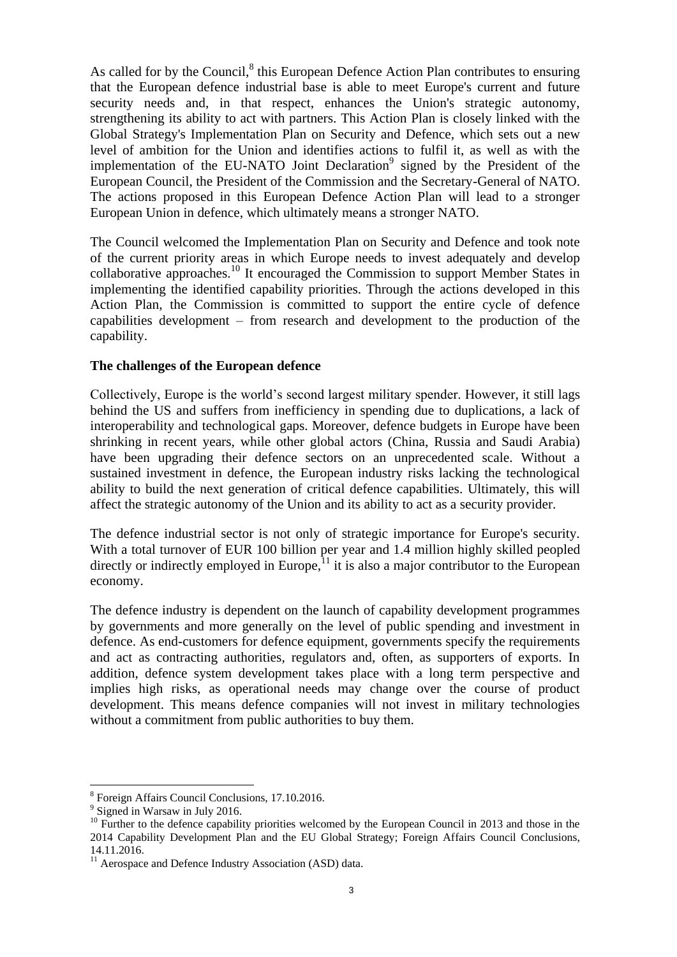As called for by the Council, $<sup>8</sup>$  this European Defence Action Plan contributes to ensuring</sup> that the European defence industrial base is able to meet Europe's current and future security needs and, in that respect, enhances the Union's strategic autonomy, strengthening its ability to act with partners. This Action Plan is closely linked with the Global Strategy's Implementation Plan on Security and Defence, which sets out a new level of ambition for the Union and identifies actions to fulfil it, as well as with the implementation of the EU-NATO Joint Declaration<sup>9</sup> signed by the President of the European Council, the President of the Commission and the Secretary-General of NATO. The actions proposed in this European Defence Action Plan will lead to a stronger European Union in defence, which ultimately means a stronger NATO.

The Council welcomed the Implementation Plan on Security and Defence and took note of the current priority areas in which Europe needs to invest adequately and develop collaborative approaches.<sup>10</sup> It encouraged the Commission to support Member States in implementing the identified capability priorities. Through the actions developed in this Action Plan, the Commission is committed to support the entire cycle of defence capabilities development – from research and development to the production of the capability.

#### **The challenges of the European defence**

Collectively, Europe is the world's second largest military spender. However, it still lags behind the US and suffers from inefficiency in spending due to duplications, a lack of interoperability and technological gaps. Moreover, defence budgets in Europe have been shrinking in recent years, while other global actors (China, Russia and Saudi Arabia) have been upgrading their defence sectors on an unprecedented scale. Without a sustained investment in defence, the European industry risks lacking the technological ability to build the next generation of critical defence capabilities. Ultimately, this will affect the strategic autonomy of the Union and its ability to act as a security provider.

The defence industrial sector is not only of strategic importance for Europe's security. With a total turnover of EUR 100 billion per year and 1.4 million highly skilled peopled directly or indirectly employed in Europe, $^{11}$  it is also a major contributor to the European economy.

The defence industry is dependent on the launch of capability development programmes by governments and more generally on the level of public spending and investment in defence. As end-customers for defence equipment, governments specify the requirements and act as contracting authorities, regulators and, often, as supporters of exports. In addition, defence system development takes place with a long term perspective and implies high risks, as operational needs may change over the course of product development. This means defence companies will not invest in military technologies without a commitment from public authorities to buy them.

<sup>8</sup> Foreign Affairs Council Conclusions, 17.10.2016.

<sup>&</sup>lt;sup>9</sup> Signed in Warsaw in July 2016.

<sup>&</sup>lt;sup>10</sup> Further to the defence capability priorities welcomed by the European Council in 2013 and those in the 2014 Capability Development Plan and the EU Global Strategy; Foreign Affairs Council Conclusions, 14.11.2016.

<sup>&</sup>lt;sup>11</sup> Aerospace and Defence Industry Association (ASD) data.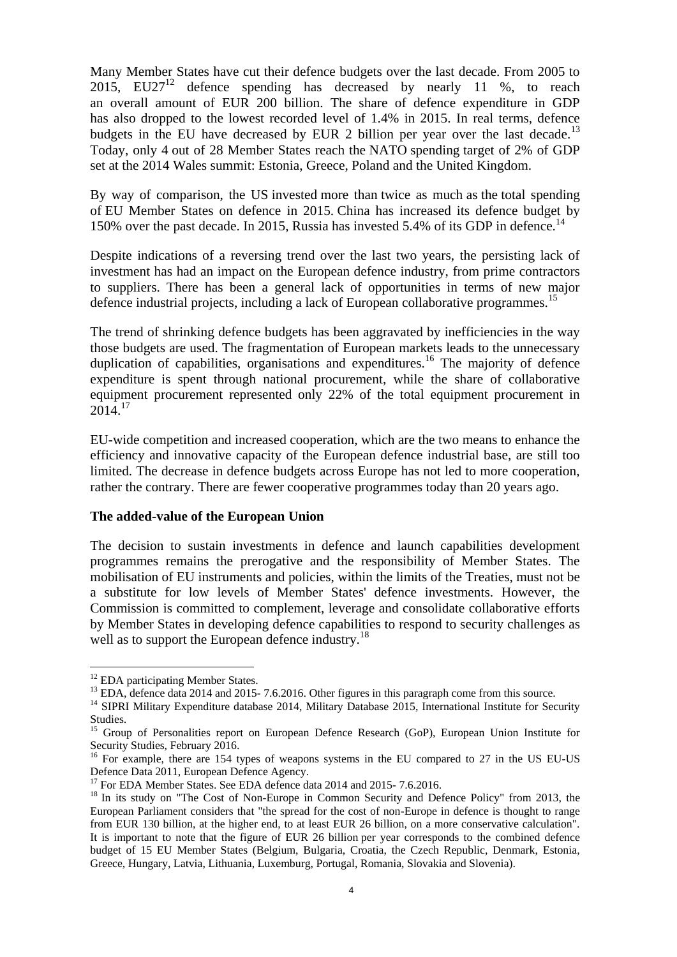Many Member States have cut their defence budgets over the last decade. From 2005 to 2015, EU27<sup>12</sup> defence spending has decreased by nearly 11 %, to reach an overall amount of EUR 200 billion. The share of defence expenditure in GDP has also dropped to the lowest recorded level of 1.4% in 2015. In real terms, defence budgets in the EU have decreased by EUR 2 billion per year over the last decade.<sup>13</sup> Today, only 4 out of 28 Member States reach the NATO spending target of 2% of GDP set at the 2014 Wales summit: Estonia, Greece, Poland and the United Kingdom.

By way of comparison, the US invested more than twice as much as the total spending of EU Member States on defence in 2015. China has increased its defence budget by 150% over the past decade. In 2015, Russia has invested 5.4% of its GDP in defence.<sup>14</sup>

Despite indications of a reversing trend over the last two years, the persisting lack of investment has had an impact on the European defence industry, from prime contractors to suppliers. There has been a general lack of opportunities in terms of new major defence industrial projects, including a lack of European collaborative programmes.<sup>15</sup>

The trend of shrinking defence budgets has been aggravated by inefficiencies in the way those budgets are used. The fragmentation of European markets leads to the unnecessary duplication of capabilities, organisations and expenditures.<sup>16</sup> The majority of defence expenditure is spent through national procurement, while the share of collaborative equipment procurement represented only 22% of the total equipment procurement in  $2014.<sup>17</sup>$ 

EU-wide competition and increased cooperation, which are the two means to enhance the efficiency and innovative capacity of the European defence industrial base, are still too limited. The decrease in defence budgets across Europe has not led to more cooperation, rather the contrary. There are fewer cooperative programmes today than 20 years ago.

#### **The added-value of the European Union**

The decision to sustain investments in defence and launch capabilities development programmes remains the prerogative and the responsibility of Member States. The mobilisation of EU instruments and policies, within the limits of the Treaties, must not be a substitute for low levels of Member States' defence investments. However, the Commission is committed to complement, leverage and consolidate collaborative efforts by Member States in developing defence capabilities to respond to security challenges as well as to support the European defence industry.<sup>18</sup>

<sup>&</sup>lt;sup>12</sup> EDA participating Member States.

<sup>&</sup>lt;sup>13</sup> EDA, defence data 2014 and 2015- 7.6.2016. Other figures in this paragraph come from this source.

<sup>&</sup>lt;sup>14</sup> SIPRI Military Expenditure database 2014, Military Database 2015, International Institute for Security Studies.

<sup>&</sup>lt;sup>15</sup> Group of Personalities report on European Defence Research (GoP), European Union Institute for Security Studies, February 2016.

<sup>&</sup>lt;sup>16</sup> For example, there are 154 types of weapons systems in the EU compared to 27 in the US EU-US Defence Data 2011, European Defence Agency.

<sup>&</sup>lt;sup>17</sup> For EDA Member States. See EDA defence data 2014 and 2015- 7.6.2016.

<sup>&</sup>lt;sup>18</sup> In its study on "The Cost of Non-Europe in Common Security and Defence Policy" from 2013, the European Parliament considers that "the spread for the cost of non-Europe in defence is thought to range from EUR 130 billion, at the higher end, to at least EUR 26 billion, on a more conservative calculation". It is important to note that the figure of EUR 26 billion per year corresponds to the combined defence budget of 15 EU Member States (Belgium, Bulgaria, Croatia, the Czech Republic, Denmark, Estonia, Greece, Hungary, Latvia, Lithuania, Luxemburg, Portugal, Romania, Slovakia and Slovenia).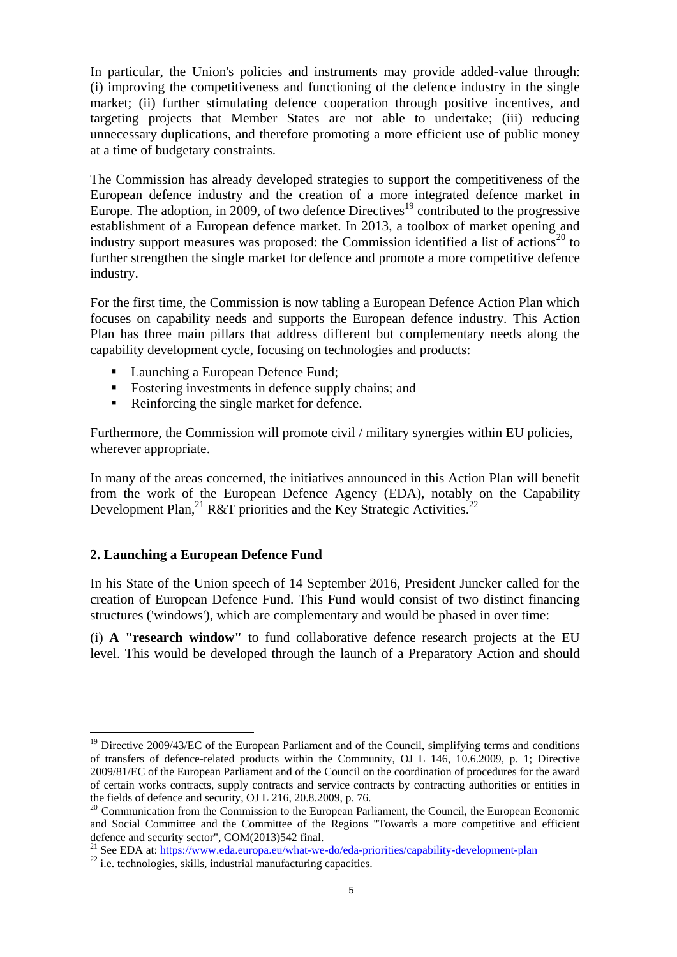In particular, the Union's policies and instruments may provide added-value through: (i) improving the competitiveness and functioning of the defence industry in the single market; (ii) further stimulating defence cooperation through positive incentives, and targeting projects that Member States are not able to undertake; (iii) reducing unnecessary duplications, and therefore promoting a more efficient use of public money at a time of budgetary constraints.

The Commission has already developed strategies to support the competitiveness of the European defence industry and the creation of a more integrated defence market in Europe. The adoption, in 2009, of two defence Directives<sup>19</sup> contributed to the progressive establishment of a European defence market. In 2013, a toolbox of market opening and industry support measures was proposed: the Commission identified a list of actions<sup>20</sup> to further strengthen the single market for defence and promote a more competitive defence industry.

For the first time, the Commission is now tabling a European Defence Action Plan which focuses on capability needs and supports the European defence industry. This Action Plan has three main pillars that address different but complementary needs along the capability development cycle, focusing on technologies and products:

- Launching a European Defence Fund;
- Fostering investments in defence supply chains; and
- Reinforcing the single market for defence.

Furthermore, the Commission will promote civil / military synergies within EU policies. wherever appropriate.

In many of the areas concerned, the initiatives announced in this Action Plan will benefit from the work of the European Defence Agency (EDA), notably on the Capability Development Plan,  $^{21}$  R&T priorities and the Key Strategic Activities.<sup>22</sup>

# **2. Launching a European Defence Fund**

In his State of the Union speech of 14 September 2016, President Juncker called for the creation of European Defence Fund. This Fund would consist of two distinct financing structures ('windows'), which are complementary and would be phased in over time:

(i) **A "research window"** to fund collaborative defence research projects at the EU level. This would be developed through the launch of a Preparatory Action and should

 $\overline{a}$  $19$  Directive 2009/43/EC of the European Parliament and of the Council, simplifying terms and conditions of transfers of defence-related products within the Community, OJ L 146, 10.6.2009, p. 1; Directive 2009/81/EC of the European Parliament and of the Council on the coordination of procedures for the award of certain works contracts, supply contracts and service contracts by contracting authorities or entities in the fields of defence and security, OJ L 216, 20.8.2009, p. 76.

<sup>&</sup>lt;sup>20</sup> Communication from the Commission to the European Parliament, the Council, the European Economic and Social Committee and the Committee of the Regions "Towards a more competitive and efficient defence and security sector", COM(2013)542 final.

<sup>&</sup>lt;sup>21</sup> See EDA at:<https://www.eda.europa.eu/what-we-do/eda-priorities/capability-development-plan>

 $22$  i.e. technologies, skills, industrial manufacturing capacities.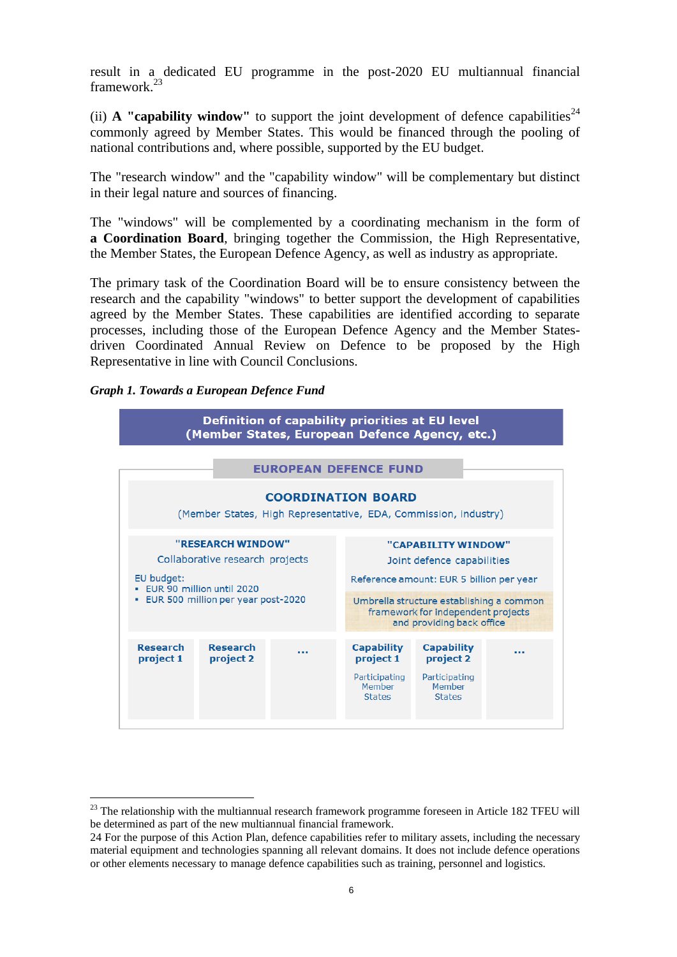result in a dedicated EU programme in the post-2020 EU multiannual financial framework.<sup>23</sup>

(ii) **A "capability window"** to support the joint development of defence capabilities<sup>24</sup> commonly agreed by Member States. This would be financed through the pooling of national contributions and, where possible, supported by the EU budget.

The "research window" and the "capability window" will be complementary but distinct in their legal nature and sources of financing.

The "windows" will be complemented by a coordinating mechanism in the form of **a Coordination Board**, bringing together the Commission, the High Representative, the Member States, the European Defence Agency, as well as industry as appropriate.

The primary task of the Coordination Board will be to ensure consistency between the research and the capability "windows" to better support the development of capabilities agreed by the Member States. These capabilities are identified according to separate processes, including those of the European Defence Agency and the Member Statesdriven Coordinated Annual Review on Defence to be proposed by the High Representative in line with Council Conclusions.

#### *Graph 1. Towards a European Defence Fund*



<sup>&</sup>lt;sup>23</sup> The relationship with the multiannual research framework programme foreseen in Article 182 TFEU will be determined as part of the new multiannual financial framework.

<sup>24</sup> For the purpose of this Action Plan, defence capabilities refer to military assets, including the necessary material equipment and technologies spanning all relevant domains. It does not include defence operations or other elements necessary to manage defence capabilities such as training, personnel and logistics.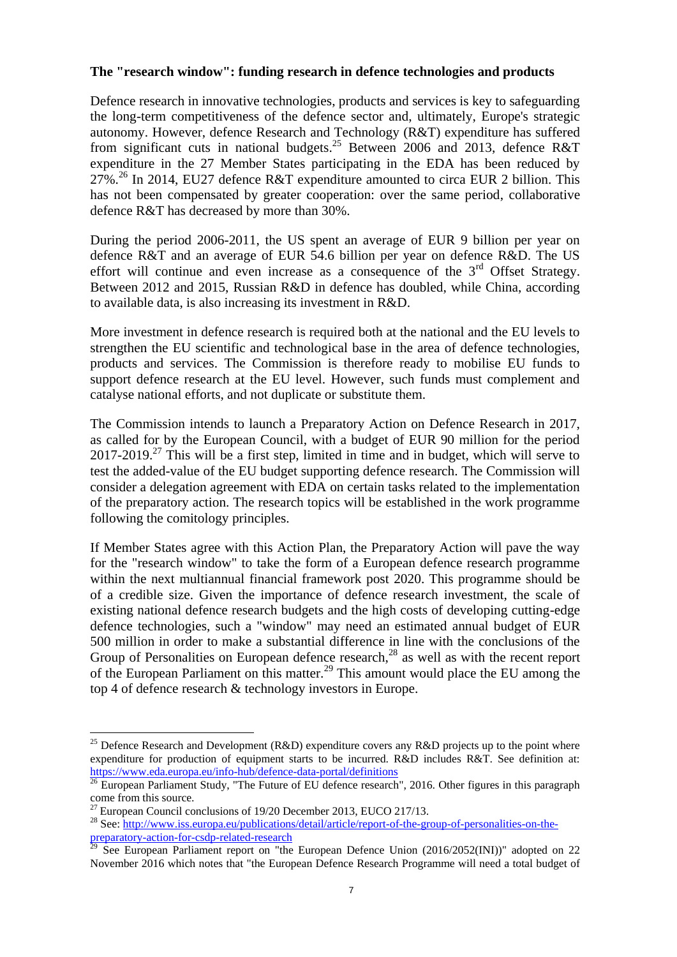## **The "research window": funding research in defence technologies and products**

Defence research in innovative technologies, products and services is key to safeguarding the long-term competitiveness of the defence sector and, ultimately, Europe's strategic autonomy. However, defence Research and Technology (R&T) expenditure has suffered from significant cuts in national budgets.<sup>25</sup> Between 2006 and 2013, defence R&T expenditure in the 27 Member States participating in the EDA has been reduced by  $27\%$ .<sup>26</sup> In 2014, EU27 defence R&T expenditure amounted to circa EUR 2 billion. This has not been compensated by greater cooperation: over the same period, collaborative defence R&T has decreased by more than 30%.

During the period 2006-2011, the US spent an average of EUR 9 billion per year on defence R&T and an average of EUR 54.6 billion per year on defence R&D. The US effort will continue and even increase as a consequence of the  $3<sup>rd</sup>$  Offset Strategy. Between 2012 and 2015, Russian R&D in defence has doubled, while China, according to available data, is also increasing its investment in R&D.

More investment in defence research is required both at the national and the EU levels to strengthen the EU scientific and technological base in the area of defence technologies, products and services. The Commission is therefore ready to mobilise EU funds to support defence research at the EU level. However, such funds must complement and catalyse national efforts, and not duplicate or substitute them.

The Commission intends to launch a Preparatory Action on Defence Research in 2017, as called for by the European Council, with a budget of EUR 90 million for the period  $2017-2019$ <sup>27</sup> This will be a first step, limited in time and in budget, which will serve to test the added-value of the EU budget supporting defence research. The Commission will consider a delegation agreement with EDA on certain tasks related to the implementation of the preparatory action. The research topics will be established in the work programme following the comitology principles.

If Member States agree with this Action Plan, the Preparatory Action will pave the way for the "research window" to take the form of a European defence research programme within the next multiannual financial framework post 2020. This programme should be of a credible size. Given the importance of defence research investment, the scale of existing national defence research budgets and the high costs of developing cutting-edge defence technologies, such a "window" may need an estimated annual budget of EUR 500 million in order to make a substantial difference in line with the conclusions of the Group of Personalities on European defence research, $^{28}$  as well as with the recent report of the European Parliament on this matter.<sup>29</sup> This amount would place the EU among the top 4 of defence research & technology investors in Europe.

<sup>&</sup>lt;sup>25</sup> Defence Research and Development (R&D) expenditure covers any R&D projects up to the point where expenditure for production of equipment starts to be incurred. R&D includes R&T. See definition at: <https://www.eda.europa.eu/info-hub/defence-data-portal/definitions>

 $^{26}$  European Parliament Study, "The Future of EU defence research", 2016. Other figures in this paragraph come from this source.

 $27$  European Council conclusions of 19/20 December 2013, EUCO 217/13.

<sup>&</sup>lt;sup>28</sup> See: [http://www.iss.europa.eu/publications/detail/article/report-of-the-group-of-personalities-on-the](http://www.iss.europa.eu/publications/detail/article/report-of-the-group-of-personalities-on-the-preparatory-action-for-csdp-related-research/)[preparatory-action-for-csdp-related-research](http://www.iss.europa.eu/publications/detail/article/report-of-the-group-of-personalities-on-the-preparatory-action-for-csdp-related-research/)<br>
<sup>29</sup> Soc Eventual Dividends in the Second Dividends of the Second Dividend Dividends of the Second Dividend Dividend Dividend Dividend Dividend Dividend Dividend Dividend Divid

See European Parliament report on "the European Defence Union (2016/2052(INI))" adopted on 22 November 2016 which notes that "the European Defence Research Programme will need a total budget of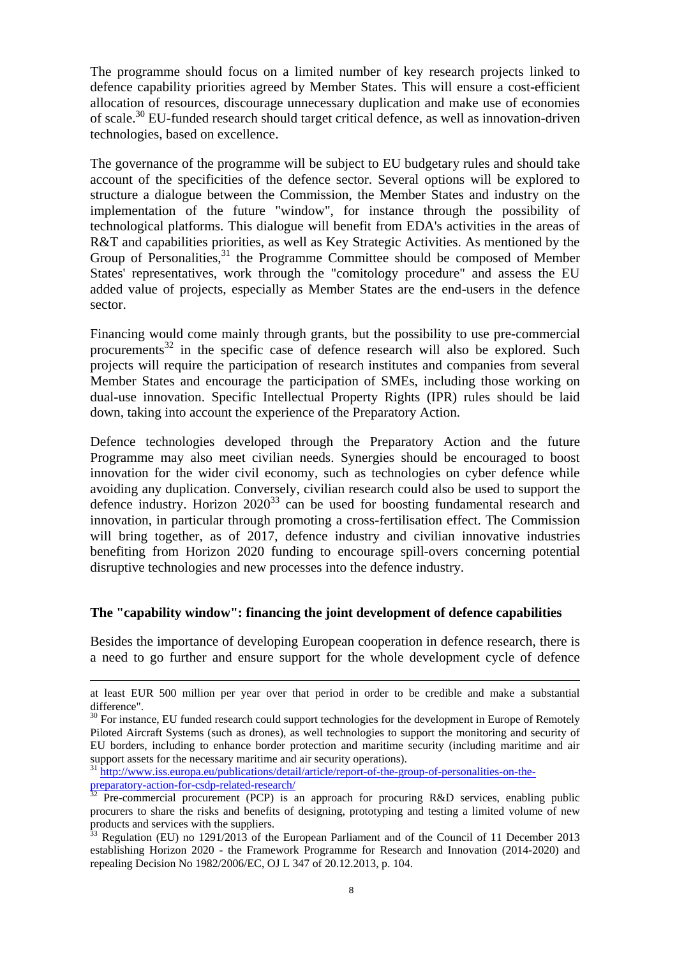The programme should focus on a limited number of key research projects linked to defence capability priorities agreed by Member States. This will ensure a cost-efficient allocation of resources, discourage unnecessary duplication and make use of economies of scale.<sup>30</sup> EU-funded research should target critical defence, as well as innovation-driven technologies, based on excellence.

The governance of the programme will be subject to EU budgetary rules and should take account of the specificities of the defence sector. Several options will be explored to structure a dialogue between the Commission, the Member States and industry on the implementation of the future "window", for instance through the possibility of technological platforms. This dialogue will benefit from EDA's activities in the areas of R&T and capabilities priorities, as well as Key Strategic Activities. As mentioned by the Group of Personalities,<sup>31</sup> the Programme Committee should be composed of Member States' representatives, work through the "comitology procedure" and assess the EU added value of projects, especially as Member States are the end-users in the defence sector.

Financing would come mainly through grants, but the possibility to use pre-commercial procurements $32$  in the specific case of defence research will also be explored. Such projects will require the participation of research institutes and companies from several Member States and encourage the participation of SMEs, including those working on dual-use innovation. Specific Intellectual Property Rights (IPR) rules should be laid down, taking into account the experience of the Preparatory Action.

Defence technologies developed through the Preparatory Action and the future Programme may also meet civilian needs. Synergies should be encouraged to boost innovation for the wider civil economy, such as technologies on cyber defence while avoiding any duplication. Conversely, civilian research could also be used to support the defence industry. Horizon  $2020^{33}$  can be used for boosting fundamental research and innovation, in particular through promoting a cross-fertilisation effect. The Commission will bring together, as of 2017, defence industry and civilian innovative industries benefiting from Horizon 2020 funding to encourage spill-overs concerning potential disruptive technologies and new processes into the defence industry.

#### **The "capability window": financing the joint development of defence capabilities**

Besides the importance of developing European cooperation in defence research, there is a need to go further and ensure support for the whole development cycle of defence

1

at least EUR 500 million per year over that period in order to be credible and make a substantial difference".

<sup>&</sup>lt;sup>30</sup> For instance, EU funded research could support technologies for the development in Europe of Remotely Piloted Aircraft Systems (such as drones), as well technologies to support the monitoring and security of EU borders, including to enhance border protection and maritime security (including maritime and air support assets for the necessary maritime and air security operations).

<sup>&</sup>lt;sup>31</sup> http://www.iss.europa<u>.eu/publications/detail/article/report-of-the-group-of-personalities-on-the-</u> [preparatory-action-for-csdp-related-research/](http://www.iss.europa.eu/publications/detail/article/report-of-the-group-of-personalities-on-the-preparatory-action-for-csdp-related-research/)<br> $\frac{32 \text{ Pro account}}{22 \text{ Pro account}}$ 

Pre-commercial procurement (PCP) is an approach for procuring R&D services, enabling public procurers to share the risks and benefits of designing, prototyping and testing a limited volume of new products and services with the suppliers.

<sup>33</sup> Regulation (EU) no 1291/2013 of the European Parliament and of the Council of 11 December 2013 establishing Horizon 2020 - the Framework Programme for Research and Innovation (2014-2020) and repealing Decision No 1982/2006/EC, OJ L 347 of 20.12.2013, p. 104.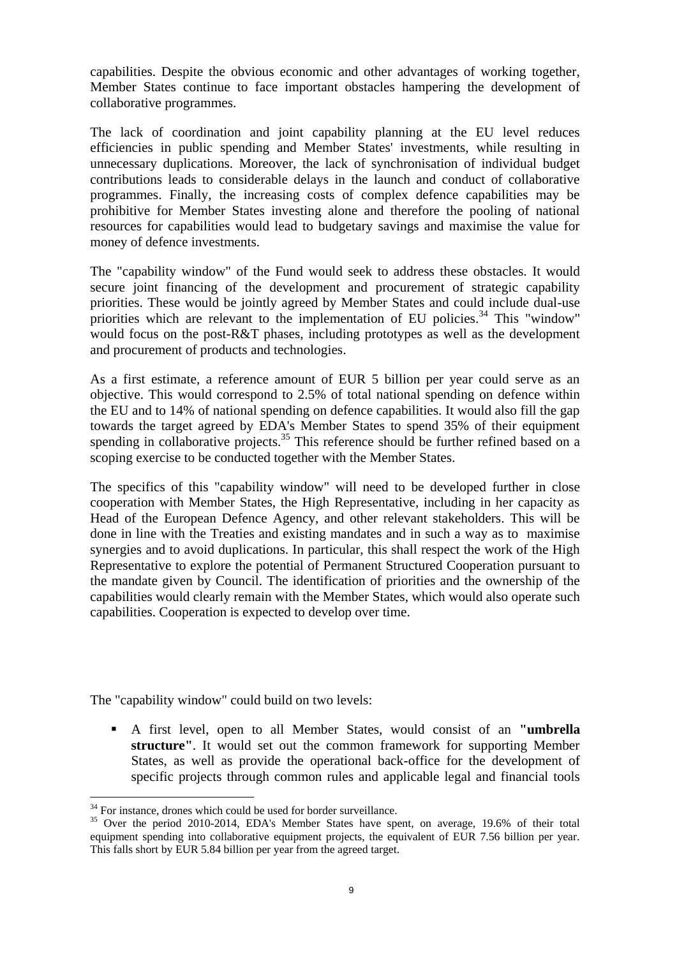capabilities. Despite the obvious economic and other advantages of working together, Member States continue to face important obstacles hampering the development of collaborative programmes.

The lack of coordination and joint capability planning at the EU level reduces efficiencies in public spending and Member States' investments, while resulting in unnecessary duplications. Moreover, the lack of synchronisation of individual budget contributions leads to considerable delays in the launch and conduct of collaborative programmes. Finally, the increasing costs of complex defence capabilities may be prohibitive for Member States investing alone and therefore the pooling of national resources for capabilities would lead to budgetary savings and maximise the value for money of defence investments.

The "capability window" of the Fund would seek to address these obstacles. It would secure joint financing of the development and procurement of strategic capability priorities. These would be jointly agreed by Member States and could include dual-use priorities which are relevant to the implementation of EU policies.<sup>34</sup> This "window" would focus on the post-R&T phases, including prototypes as well as the development and procurement of products and technologies.

As a first estimate, a reference amount of EUR 5 billion per year could serve as an objective. This would correspond to 2.5% of total national spending on defence within the EU and to 14% of national spending on defence capabilities. It would also fill the gap towards the target agreed by EDA's Member States to spend 35% of their equipment spending in collaborative projects.<sup>35</sup> This reference should be further refined based on a scoping exercise to be conducted together with the Member States.

The specifics of this "capability window" will need to be developed further in close cooperation with Member States, the High Representative, including in her capacity as Head of the European Defence Agency, and other relevant stakeholders. This will be done in line with the Treaties and existing mandates and in such a way as to maximise synergies and to avoid duplications. In particular, this shall respect the work of the High Representative to explore the potential of Permanent Structured Cooperation pursuant to the mandate given by Council. The identification of priorities and the ownership of the capabilities would clearly remain with the Member States, which would also operate such capabilities. Cooperation is expected to develop over time.

The "capability window" could build on two levels:

 A first level, open to all Member States, would consist of an **"umbrella structure"**. It would set out the common framework for supporting Member States, as well as provide the operational back-office for the development of specific projects through common rules and applicable legal and financial tools

 $34$  For instance, drones which could be used for border surveillance.

<sup>&</sup>lt;sup>35</sup> Over the period 2010-2014, EDA's Member States have spent, on average, 19.6% of their total equipment spending into collaborative equipment projects, the equivalent of EUR 7.56 billion per year. This falls short by EUR 5.84 billion per year from the agreed target.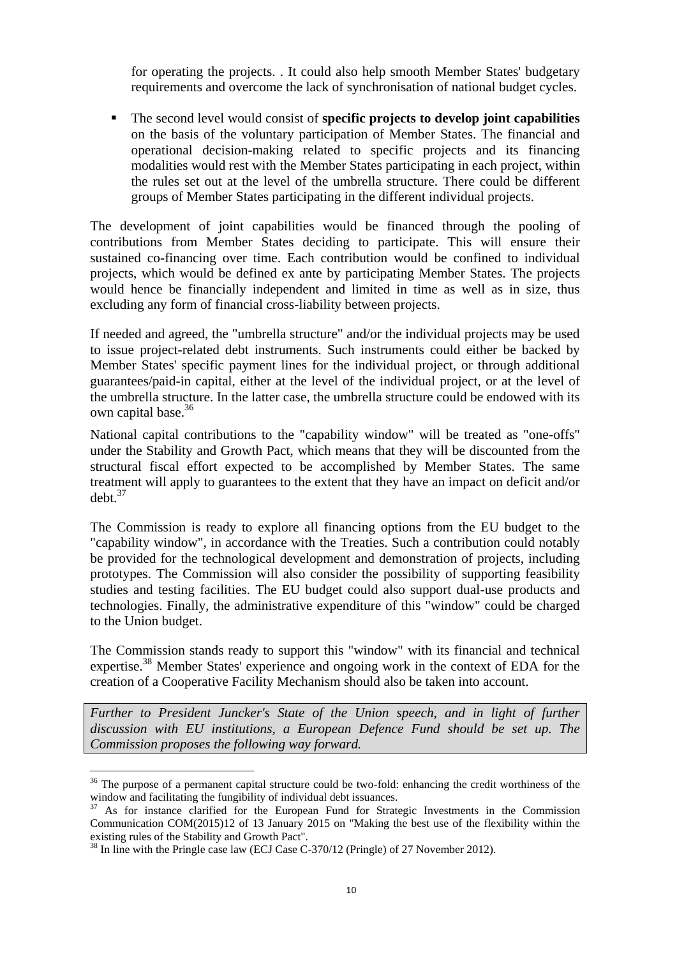for operating the projects. . It could also help smooth Member States' budgetary requirements and overcome the lack of synchronisation of national budget cycles.

 The second level would consist of **specific projects to develop joint capabilities**  on the basis of the voluntary participation of Member States. The financial and operational decision-making related to specific projects and its financing modalities would rest with the Member States participating in each project, within the rules set out at the level of the umbrella structure. There could be different groups of Member States participating in the different individual projects.

The development of joint capabilities would be financed through the pooling of contributions from Member States deciding to participate. This will ensure their sustained co-financing over time. Each contribution would be confined to individual projects, which would be defined ex ante by participating Member States. The projects would hence be financially independent and limited in time as well as in size, thus excluding any form of financial cross-liability between projects.

If needed and agreed, the "umbrella structure" and/or the individual projects may be used to issue project-related debt instruments. Such instruments could either be backed by Member States' specific payment lines for the individual project, or through additional guarantees/paid-in capital, either at the level of the individual project, or at the level of the umbrella structure. In the latter case, the umbrella structure could be endowed with its own capital base.<sup>36</sup>

National capital contributions to the "capability window" will be treated as "one-offs" under the Stability and Growth Pact, which means that they will be discounted from the structural fiscal effort expected to be accomplished by Member States. The same treatment will apply to guarantees to the extent that they have an impact on deficit and/or debt.<sup>37</sup>

The Commission is ready to explore all financing options from the EU budget to the "capability window", in accordance with the Treaties. Such a contribution could notably be provided for the technological development and demonstration of projects, including prototypes. The Commission will also consider the possibility of supporting feasibility studies and testing facilities. The EU budget could also support dual-use products and technologies. Finally, the administrative expenditure of this "window" could be charged to the Union budget.

The Commission stands ready to support this "window" with its financial and technical expertise.<sup>38</sup> Member States' experience and ongoing work in the context of EDA for the creation of a Cooperative Facility Mechanism should also be taken into account.

Further to President Juncker's State of the Union speech, and in light of further *discussion with EU institutions, a European Defence Fund should be set up. The Commission proposes the following way forward.*

<sup>&</sup>lt;sup>36</sup> The purpose of a permanent capital structure could be two-fold: enhancing the credit worthiness of the window and facilitating the fungibility of individual debt issuances.

<sup>&</sup>lt;sup>37</sup> As for instance clarified for the European Fund for Strategic Investments in the Commission Communication COM(2015)12 of 13 January 2015 on "Making the best use of the flexibility within the existing rules of the Stability and Growth Pact".

 $38$  In line with the Pringle case law (ECJ Case C-370/12 (Pringle) of 27 November 2012).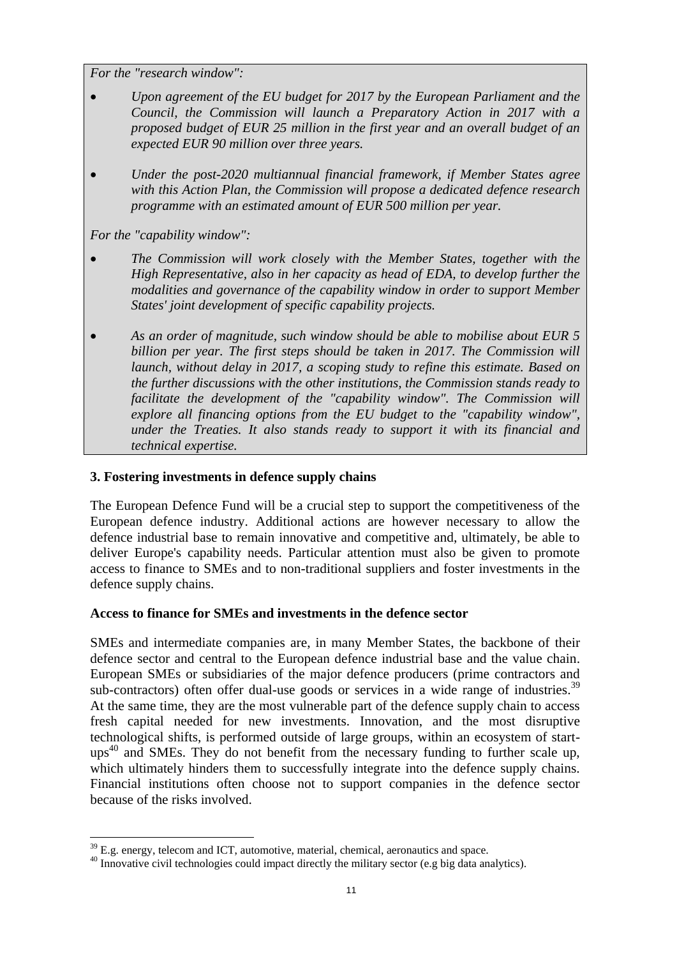*For the "research window":*

- *Upon agreement of the EU budget for 2017 by the European Parliament and the Council, the Commission will launch a Preparatory Action in 2017 with a proposed budget of EUR 25 million in the first year and an overall budget of an expected EUR 90 million over three years.*
- *Under the post-2020 multiannual financial framework, if Member States agree with this Action Plan, the Commission will propose a dedicated defence research programme with an estimated amount of EUR 500 million per year.*

*For the "capability window":*

- *The Commission will work closely with the Member States, together with the High Representative, also in her capacity as head of EDA, to develop further the modalities and governance of the capability window in order to support Member States' joint development of specific capability projects.*
- *As an order of magnitude, such window should be able to mobilise about EUR 5 billion per year. The first steps should be taken in 2017. The Commission will launch, without delay in 2017, a scoping study to refine this estimate. Based on the further discussions with the other institutions, the Commission stands ready to facilitate the development of the "capability window". The Commission will explore all financing options from the EU budget to the "capability window", under the Treaties. It also stands ready to support it with its financial and technical expertise.*

## **3. Fostering investments in defence supply chains**

The European Defence Fund will be a crucial step to support the competitiveness of the European defence industry. Additional actions are however necessary to allow the defence industrial base to remain innovative and competitive and, ultimately, be able to deliver Europe's capability needs. Particular attention must also be given to promote access to finance to SMEs and to non-traditional suppliers and foster investments in the defence supply chains.

## **Access to finance for SMEs and investments in the defence sector**

SMEs and intermediate companies are, in many Member States, the backbone of their defence sector and central to the European defence industrial base and the value chain. European SMEs or subsidiaries of the major defence producers (prime contractors and sub-contractors) often offer dual-use goods or services in a wide range of industries.<sup>39</sup> At the same time, they are the most vulnerable part of the defence supply chain to access fresh capital needed for new investments. Innovation, and the most disruptive technological shifts, is performed outside of large groups, within an ecosystem of start- $\mu$ <sub>0</sub><sup>40</sup> and SMEs. They do not benefit from the necessary funding to further scale up, which ultimately hinders them to successfully integrate into the defence supply chains. Financial institutions often choose not to support companies in the defence sector because of the risks involved.

 $\overline{a}$ <sup>39</sup> E.g. energy, telecom and ICT, automotive, material, chemical, aeronautics and space.

<sup>&</sup>lt;sup>40</sup> Innovative civil technologies could impact directly the military sector (e.g big data analytics).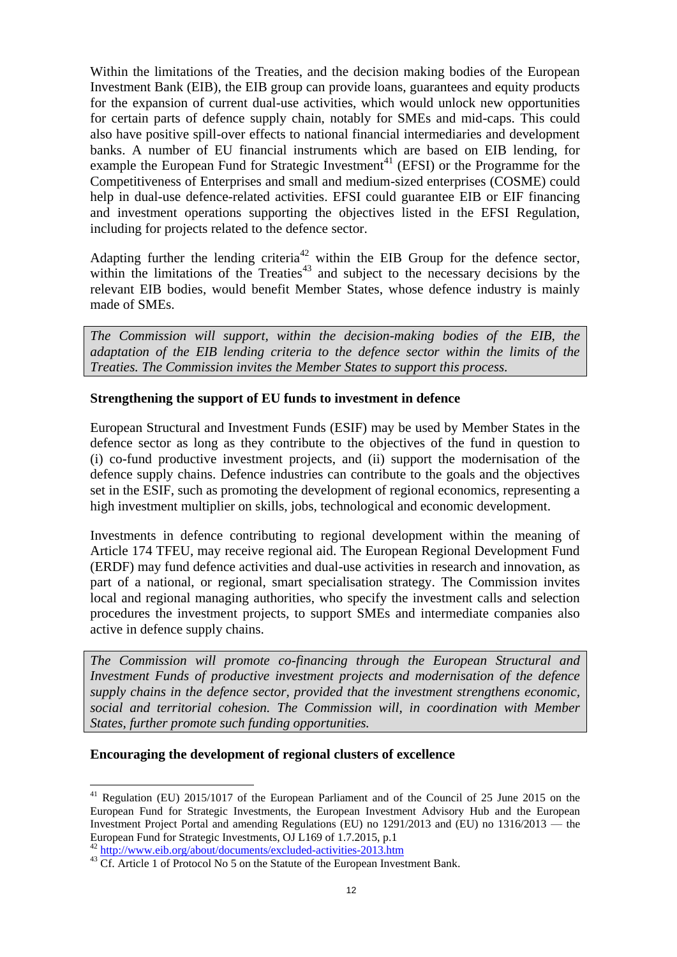Within the limitations of the Treaties, and the decision making bodies of the European Investment Bank (EIB), the EIB group can provide loans, guarantees and equity products for the expansion of current dual-use activities, which would unlock new opportunities for certain parts of defence supply chain, notably for SMEs and mid-caps. This could also have positive spill-over effects to national financial intermediaries and development banks. A number of EU financial instruments which are based on EIB lending, for example the European Fund for Strategic Investment<sup>41</sup> (EFSI) or the Programme for the Competitiveness of Enterprises and small and medium-sized enterprises (COSME) could help in dual-use defence-related activities. EFSI could guarantee EIB or EIF financing and investment operations supporting the objectives listed in the EFSI Regulation, including for projects related to the defence sector.

Adapting further the lending criteria<sup>42</sup> within the EIB Group for the defence sector, within the limitations of the Treaties $43$  and subject to the necessary decisions by the relevant EIB bodies, would benefit Member States, whose defence industry is mainly made of SMEs.

*The Commission will support, within the decision-making bodies of the EIB, the adaptation of the EIB lending criteria to the defence sector within the limits of the Treaties. The Commission invites the Member States to support this process.*

## **Strengthening the support of EU funds to investment in defence**

European Structural and Investment Funds (ESIF) may be used by Member States in the defence sector as long as they contribute to the objectives of the fund in question to (i) co-fund productive investment projects, and (ii) support the modernisation of the defence supply chains. Defence industries can contribute to the goals and the objectives set in the ESIF, such as promoting the development of regional economics, representing a high investment multiplier on skills, jobs, technological and economic development.

Investments in defence contributing to regional development within the meaning of Article 174 TFEU, may receive regional aid. The European Regional Development Fund (ERDF) may fund defence activities and dual-use activities in research and innovation, as part of a national, or regional, smart specialisation strategy. The Commission invites local and regional managing authorities, who specify the investment calls and selection procedures the investment projects, to support SMEs and intermediate companies also active in defence supply chains.

*The Commission will promote co-financing through the European Structural and Investment Funds of productive investment projects and modernisation of the defence supply chains in the defence sector, provided that the investment strengthens economic, social and territorial cohesion. The Commission will, in coordination with Member States, further promote such funding opportunities.* 

## **Encouraging the development of regional clusters of excellence**

 $41$  Regulation (EU) 2015/1017 of the European Parliament and of the Council of 25 June 2015 on the European Fund for Strategic Investments, the European Investment Advisory Hub and the European Investment Project Portal and amending Regulations (EU) no 1291/2013 and (EU) no 1316/2013 — the European Fund for Strategic Investments, OJ L169 of 1.7.2015, p.1

<sup>&</sup>lt;sup>42</sup> <http://www.eib.org/about/documents/excluded-activities-2013.htm>

<sup>&</sup>lt;sup>43</sup> Cf. Article 1 of Protocol No 5 on the Statute of the European Investment Bank.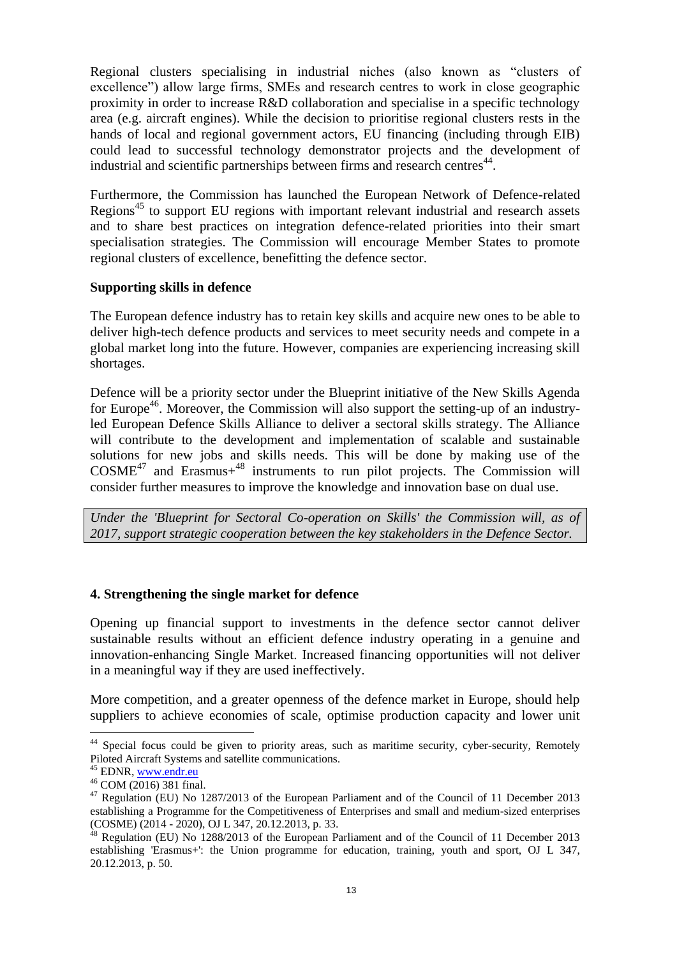Regional clusters specialising in industrial niches (also known as "clusters of excellence") allow large firms, SMEs and research centres to work in close geographic proximity in order to increase R&D collaboration and specialise in a specific technology area (e.g. aircraft engines). While the decision to prioritise regional clusters rests in the hands of local and regional government actors, EU financing (including through EIB) could lead to successful technology demonstrator projects and the development of industrial and scientific partnerships between firms and research centres<sup>44</sup>.

Furthermore, the Commission has launched the European Network of Defence-related Regions<sup>45</sup> to support EU regions with important relevant industrial and research assets and to share best practices on integration defence-related priorities into their smart specialisation strategies. The Commission will encourage Member States to promote regional clusters of excellence, benefitting the defence sector.

#### **Supporting skills in defence**

The European defence industry has to retain key skills and acquire new ones to be able to deliver high-tech defence products and services to meet security needs and compete in a global market long into the future. However, companies are experiencing increasing skill shortages.

Defence will be a priority sector under the Blueprint initiative of the New Skills Agenda for Europe<sup>46</sup>. Moreover, the Commission will also support the setting-up of an industryled European Defence Skills Alliance to deliver a sectoral skills strategy. The Alliance will contribute to the development and implementation of scalable and sustainable solutions for new jobs and skills needs. This will be done by making use of the  $COSME<sup>47</sup>$  and Erasmus+<sup>48</sup> instruments to run pilot projects. The Commission will consider further measures to improve the knowledge and innovation base on dual use.

*Under the 'Blueprint for Sectoral Co-operation on Skills' the Commission will, as of 2017, support strategic cooperation between the key stakeholders in the Defence Sector.* 

#### **4. Strengthening the single market for defence**

Opening up financial support to investments in the defence sector cannot deliver sustainable results without an efficient defence industry operating in a genuine and innovation-enhancing Single Market. Increased financing opportunities will not deliver in a meaningful way if they are used ineffectively.

More competition, and a greater openness of the defence market in Europe, should help suppliers to achieve economies of scale, optimise production capacity and lower unit

<sup>&</sup>lt;sup>44</sup> Special focus could be given to priority areas, such as maritime security, cyber-security, Remotely Piloted Aircraft Systems and satellite communications.

<sup>&</sup>lt;sup>45</sup> EDNR[, www.endr.eu](http://www.endr.eu/)

<sup>46</sup> COM (2016) 381 final.

<sup>&</sup>lt;sup>47</sup> Regulation (EU) No 1287/2013 of the European Parliament and of the Council of 11 December 2013 establishing a Programme for the Competitiveness of Enterprises and small and medium-sized enterprises (COSME) (2014 - 2020), OJ L 347, 20.12.2013, p. 33.

<sup>48</sup> Regulation (EU) No 1288/2013 of the European Parliament and of the Council of 11 December 2013 establishing 'Erasmus+': the Union programme for education, training, youth and sport, OJ L 347, 20.12.2013, p. 50.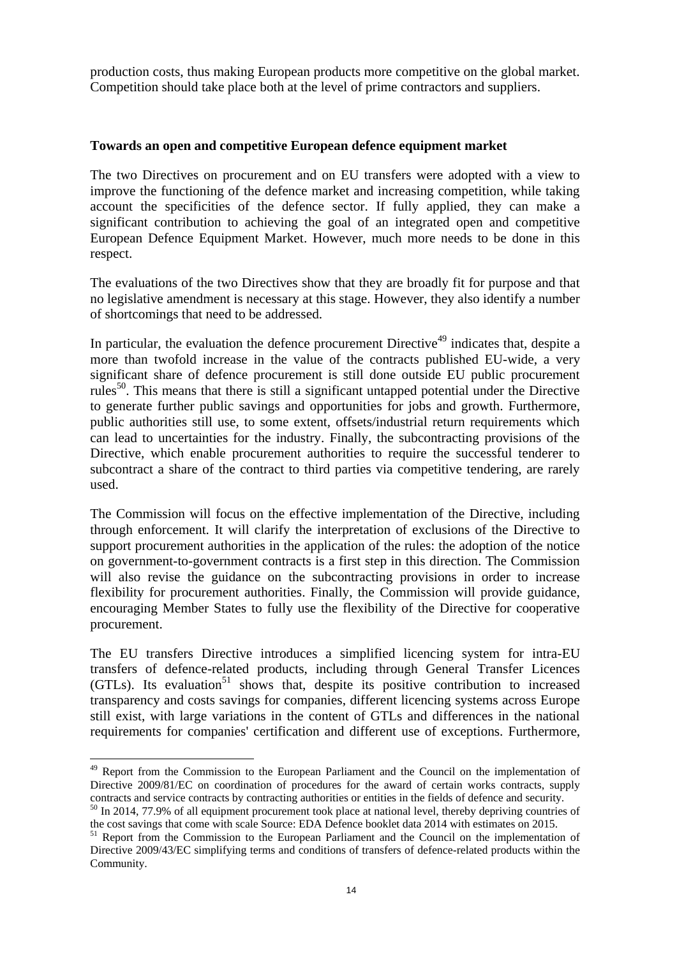production costs, thus making European products more competitive on the global market. Competition should take place both at the level of prime contractors and suppliers.

## **Towards an open and competitive European defence equipment market**

The two Directives on procurement and on EU transfers were adopted with a view to improve the functioning of the defence market and increasing competition, while taking account the specificities of the defence sector. If fully applied, they can make a significant contribution to achieving the goal of an integrated open and competitive European Defence Equipment Market. However, much more needs to be done in this respect.

The evaluations of the two Directives show that they are broadly fit for purpose and that no legislative amendment is necessary at this stage. However, they also identify a number of shortcomings that need to be addressed.

In particular, the evaluation the defence procurement Directive<sup>49</sup> indicates that, despite a more than twofold increase in the value of the contracts published EU-wide, a very significant share of defence procurement is still done outside EU public procurement rules<sup>50</sup>. This means that there is still a significant untapped potential under the Directive to generate further public savings and opportunities for jobs and growth. Furthermore, public authorities still use, to some extent, offsets/industrial return requirements which can lead to uncertainties for the industry. Finally, the subcontracting provisions of the Directive, which enable procurement authorities to require the successful tenderer to subcontract a share of the contract to third parties via competitive tendering, are rarely used.

The Commission will focus on the effective implementation of the Directive, including through enforcement. It will clarify the interpretation of exclusions of the Directive to support procurement authorities in the application of the rules: the adoption of the notice on government-to-government contracts is a first step in this direction. The Commission will also revise the guidance on the subcontracting provisions in order to increase flexibility for procurement authorities. Finally, the Commission will provide guidance, encouraging Member States to fully use the flexibility of the Directive for cooperative procurement.

The EU transfers Directive introduces a simplified licencing system for intra-EU transfers of defence-related products, including through General Transfer Licences  $(GTLs)$ . Its evaluation<sup>51</sup> shows that, despite its positive contribution to increased transparency and costs savings for companies, different licencing systems across Europe still exist, with large variations in the content of GTLs and differences in the national requirements for companies' certification and different use of exceptions. Furthermore,

<sup>&</sup>lt;sup>49</sup> Report from the Commission to the European Parliament and the Council on the implementation of Directive 2009/81/EC on coordination of procedures for the award of certain works contracts, supply contracts and service contracts by contracting authorities or entities in the fields of defence and security.

<sup>&</sup>lt;sup>50</sup> In 2014, 77.9% of all equipment procurement took place at national level, thereby depriving countries of the cost savings that come with scale Source: EDA Defence booklet data 2014 with estimates on 2015.

<sup>&</sup>lt;sup>51</sup> Report from the Commission to the European Parliament and the Council on the implementation of Directive 2009/43/EC simplifying terms and conditions of transfers of defence-related products within the Community.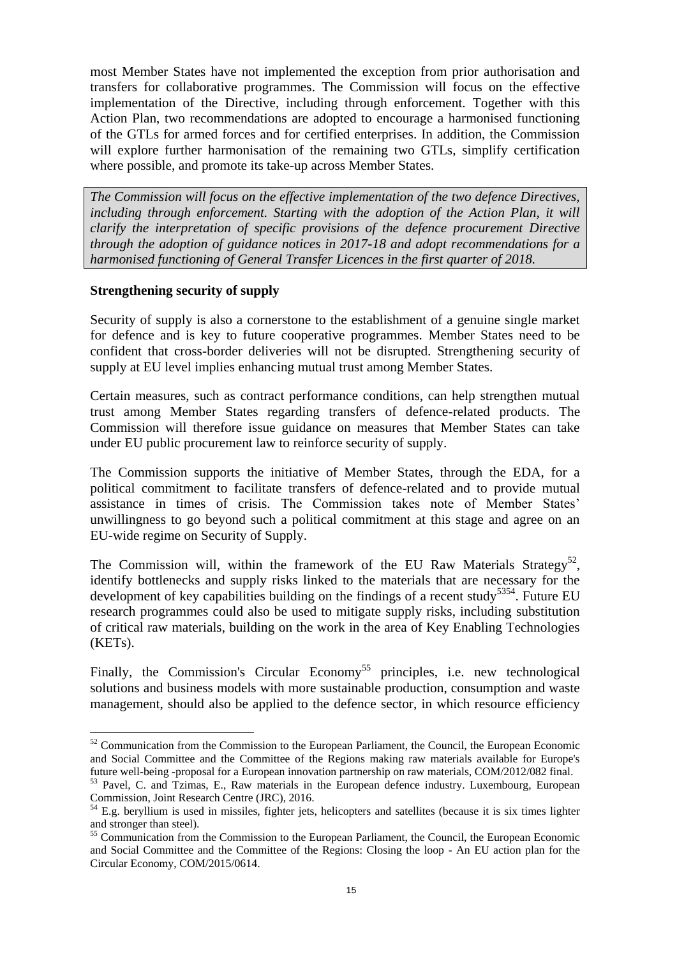most Member States have not implemented the exception from prior authorisation and transfers for collaborative programmes. The Commission will focus on the effective implementation of the Directive, including through enforcement. Together with this Action Plan, two recommendations are adopted to encourage a harmonised functioning of the GTLs for armed forces and for certified enterprises. In addition, the Commission will explore further harmonisation of the remaining two GTLs, simplify certification where possible, and promote its take-up across Member States.

*The Commission will focus on the effective implementation of the two defence Directives, including through enforcement. Starting with the adoption of the Action Plan, it will clarify the interpretation of specific provisions of the defence procurement Directive through the adoption of guidance notices in 2017-18 and adopt recommendations for a harmonised functioning of General Transfer Licences in the first quarter of 2018.*

## **Strengthening security of supply**

 $\overline{a}$ 

Security of supply is also a cornerstone to the establishment of a genuine single market for defence and is key to future cooperative programmes. Member States need to be confident that cross-border deliveries will not be disrupted. Strengthening security of supply at EU level implies enhancing mutual trust among Member States.

Certain measures, such as contract performance conditions, can help strengthen mutual trust among Member States regarding transfers of defence-related products. The Commission will therefore issue guidance on measures that Member States can take under EU public procurement law to reinforce security of supply.

The Commission supports the initiative of Member States, through the EDA, for a political commitment to facilitate transfers of defence-related and to provide mutual assistance in times of crisis. The Commission takes note of Member States' unwillingness to go beyond such a political commitment at this stage and agree on an EU-wide regime on Security of Supply.

The Commission will, within the framework of the EU Raw Materials Strategy<sup>52</sup>, identify bottlenecks and supply risks linked to the materials that are necessary for the development of key capabilities building on the findings of a recent study<sup>5354</sup>. Future EU research programmes could also be used to mitigate supply risks, including substitution of critical raw materials, building on the work in the area of Key Enabling Technologies (KETs).

Finally, the Commission's Circular Economy<sup>55</sup> principles, i.e. new technological solutions and business models with more sustainable production, consumption and waste management, should also be applied to the defence sector, in which resource efficiency

 $52$  Communication from the Commission to the European Parliament, the Council, the European Economic and Social Committee and the Committee of the Regions making raw materials available for Europe's future well-being -proposal for a European innovation partnership on raw materials, COM/2012/082 final.

<sup>&</sup>lt;sup>53</sup> Pavel, C. and Tzimas, E., Raw materials in the European defence industry. Luxembourg, European Commission, Joint Research Centre (JRC), 2016.

 $54$  E.g. beryllium is used in missiles, fighter jets, helicopters and satellites (because it is six times lighter and stronger than steel).

<sup>&</sup>lt;sup>55</sup> Communication from the Commission to the European Parliament, the Council, the European Economic and Social Committee and the Committee of the Regions: Closing the loop - An EU action plan for the Circular Economy, COM/2015/0614.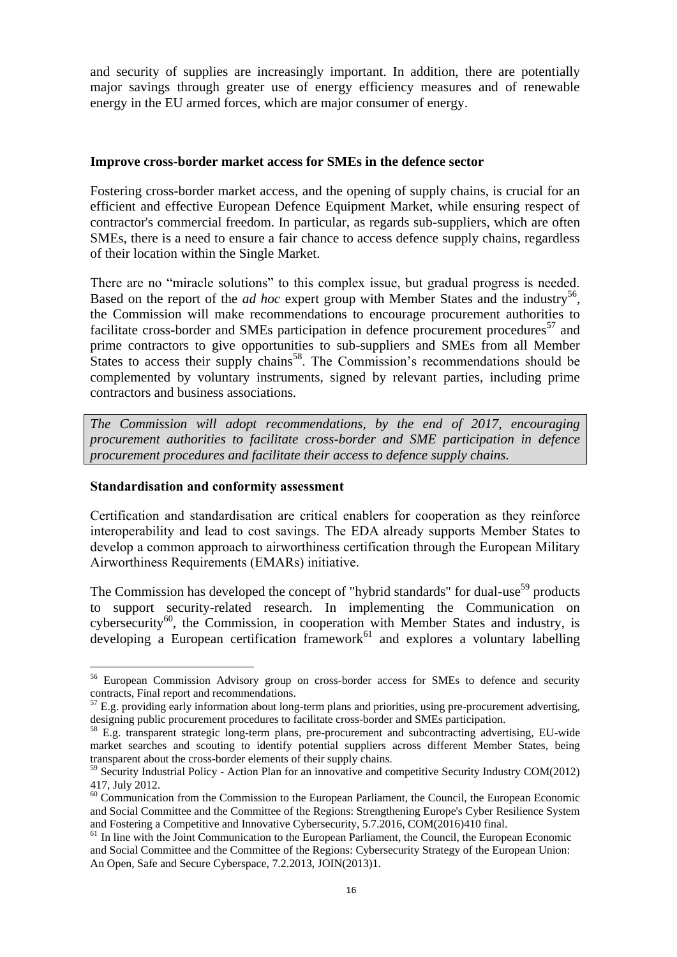and security of supplies are increasingly important. In addition, there are potentially major savings through greater use of energy efficiency measures and of renewable energy in the EU armed forces, which are major consumer of energy.

#### **Improve cross-border market access for SMEs in the defence sector**

Fostering cross-border market access, and the opening of supply chains, is crucial for an efficient and effective European Defence Equipment Market, while ensuring respect of contractor's commercial freedom. In particular, as regards sub-suppliers, which are often SMEs, there is a need to ensure a fair chance to access defence supply chains, regardless of their location within the Single Market.

There are no "miracle solutions" to this complex issue, but gradual progress is needed. Based on the report of the *ad hoc* expert group with Member States and the industry<sup>56</sup>, the Commission will make recommendations to encourage procurement authorities to facilitate cross-border and SMEs participation in defence procurement procedures<sup>57</sup> and prime contractors to give opportunities to sub-suppliers and SMEs from all Member States to access their supply chains<sup>58</sup>. The Commission's recommendations should be complemented by voluntary instruments, signed by relevant parties, including prime contractors and business associations.

*The Commission will adopt recommendations, by the end of 2017, encouraging procurement authorities to facilitate cross-border and SME participation in defence procurement procedures and facilitate their access to defence supply chains.*

## **Standardisation and conformity assessment**

 $\overline{a}$ 

Certification and standardisation are critical enablers for cooperation as they reinforce interoperability and lead to cost savings. The EDA already supports Member States to develop a common approach to airworthiness certification through the European Military Airworthiness Requirements (EMARs) initiative.

The Commission has developed the concept of "hybrid standards" for dual-use<sup>59</sup> products to support security-related research. In implementing the Communication on cybersecurity<sup>60</sup>, the Commission, in cooperation with Member States and industry, is developing a European certification framework<sup>61</sup> and explores a voluntary labelling

<sup>&</sup>lt;sup>56</sup> European Commission Advisory group on cross-border access for SMEs to defence and security contracts, Final report and recommendations.

 $57$  E.g. providing early information about long-term plans and priorities, using pre-procurement advertising, designing public procurement procedures to facilitate cross-border and SMEs participation.

<sup>&</sup>lt;sup>58</sup> E.g. transparent strategic long-term plans, pre-procurement and subcontracting advertising, EU-wide market searches and scouting to identify potential suppliers across different Member States, being transparent about the cross-border elements of their supply chains.

<sup>&</sup>lt;sup>59</sup> Security Industrial Policy - Action Plan for an innovative and competitive Security Industry COM(2012) 417, July 2012.

<sup>&</sup>lt;sup>60</sup> Communication from the Commission to the European Parliament, the Council, the European Economic and Social Committee and the Committee of the Regions: Strengthening Europe's Cyber Resilience System and Fostering a Competitive and Innovative Cybersecurity, 5.7.2016, COM(2016)410 final.

 $<sup>61</sup>$  In line with the Joint Communication to the European Parliament, the Council, the European Economic</sup> [and Social Committee and the Committee of the Regions: Cybersecurity Strategy of the European Union:](http://www.eeas.europa.eu/policies/eu-cyber-security/cybsec_comm_en.pdf)  [An Open, Safe and Secure Cyberspace,](http://www.eeas.europa.eu/policies/eu-cyber-security/cybsec_comm_en.pdf) 7.2.2013, JOIN(2013)1.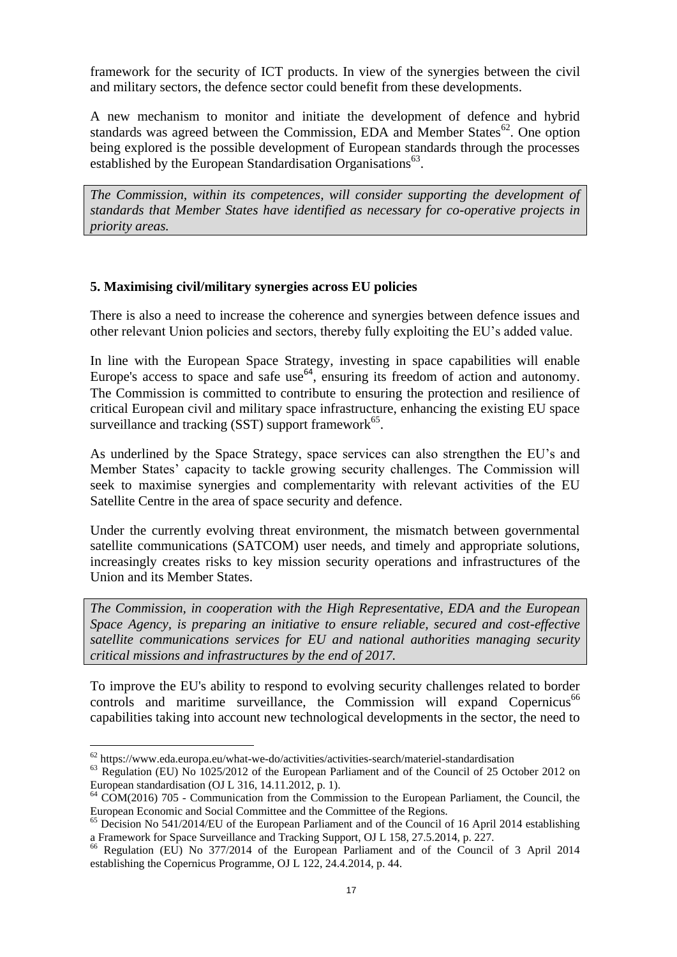framework for the security of ICT products. In view of the synergies between the civil and military sectors, the defence sector could benefit from these developments.

A new mechanism to monitor and initiate the development of defence and hybrid standards was agreed between the Commission, EDA and Member States<sup>62</sup>. One option being explored is the possible development of European standards through the processes established by the European Standardisation Organisations<sup>63</sup>.

*The Commission, within its competences, will consider supporting the development of standards that Member States have identified as necessary for co-operative projects in priority areas.* 

# **5. Maximising civil/military synergies across EU policies**

There is also a need to increase the coherence and synergies between defence issues and other relevant Union policies and sectors, thereby fully exploiting the EU's added value.

In line with the European Space Strategy, investing in space capabilities will enable Europe's access to space and safe use<sup>64</sup>, ensuring its freedom of action and autonomy. The Commission is committed to contribute to ensuring the protection and resilience of critical European civil and military space infrastructure, enhancing the existing EU space surveillance and tracking  $(SST)$  support framework<sup>65</sup>.

As underlined by the Space Strategy, space services can also strengthen the EU's and Member States' capacity to tackle growing security challenges. The Commission will seek to maximise synergies and complementarity with relevant activities of the EU Satellite Centre in the area of space security and defence.

Under the currently evolving threat environment, the mismatch between governmental satellite communications (SATCOM) user needs, and timely and appropriate solutions, increasingly creates risks to key mission security operations and infrastructures of the Union and its Member States.

*The Commission, in cooperation with the High Representative, EDA and the European Space Agency, is preparing an initiative to ensure reliable, secured and cost-effective satellite communications services for EU and national authorities managing security critical missions and infrastructures by the end of 2017.*

To improve the EU's ability to respond to evolving security challenges related to border controls and maritime surveillance, the Commission will expand Copernicus<sup>66</sup> capabilities taking into account new technological developments in the sector, the need to

 $62$  <https://www.eda.europa.eu/what-we-do/activities/activities-search/materiel-standardisation>

<sup>&</sup>lt;sup>63</sup> Regulation (EU) No 1025/2012 of the European Parliament and of the Council of 25 October 2012 on European standardisation (OJ L 316, 14.11.2012, p. 1).

<sup>&</sup>lt;sup>64</sup> COM(2016) 705 - Communication from the Commission to the European Parliament, the Council, the European Economic and Social Committee and the Committee of the Regions.

 $65$  Decision No 541/2014/EU of the European Parliament and of the Council of 16 April 2014 establishing a Framework for Space Surveillance and Tracking Support, OJ L 158, 27.5.2014, p. 227.

<sup>66</sup> Regulation (EU) No 377/2014 of the European Parliament and of the Council of 3 April 2014 establishing the Copernicus Programme, OJ L 122, 24.4.2014, p. 44.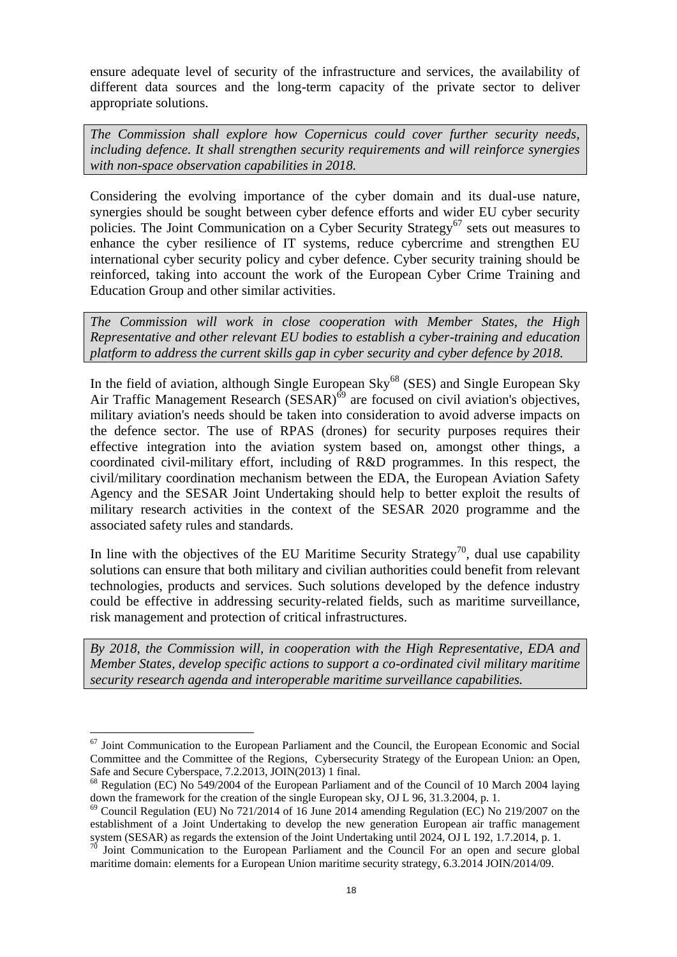ensure adequate level of security of the infrastructure and services, the availability of different data sources and the long-term capacity of the private sector to deliver appropriate solutions.

*The Commission shall explore how Copernicus could cover further security needs, including defence. It shall strengthen security requirements and will reinforce synergies with non-space observation capabilities in 2018.*

Considering the evolving importance of the cyber domain and its dual-use nature, synergies should be sought between cyber defence efforts and wider EU cyber security policies. The Joint Communication on a Cyber Security Strategy<sup>67</sup> sets out measures to enhance the cyber resilience of IT systems, reduce cybercrime and strengthen EU international cyber security policy and cyber defence. Cyber security training should be reinforced, taking into account the work of the European Cyber Crime Training and Education Group and other similar activities.

*The Commission will work in close cooperation with Member States, the High Representative and other relevant EU bodies to establish a cyber-training and education platform to address the current skills gap in cyber security and cyber defence by 2018.*

In the field of aviation, although Single European Sky $^{68}$  (SES) and Single European Sky Air Traffic Management Research (SESAR)<sup>69</sup> are focused on civil aviation's objectives, military aviation's needs should be taken into consideration to avoid adverse impacts on the defence sector. The use of RPAS (drones) for security purposes requires their effective integration into the aviation system based on, amongst other things, a coordinated civil-military effort, including of R&D programmes. In this respect, the civil/military coordination mechanism between the EDA, the European Aviation Safety Agency and the SESAR Joint Undertaking should help to better exploit the results of military research activities in the context of the SESAR 2020 programme and the associated safety rules and standards.

In line with the objectives of the EU Maritime Security Strategy<sup>70</sup>, dual use capability solutions can ensure that both military and civilian authorities could benefit from relevant technologies, products and services. Such solutions developed by the defence industry could be effective in addressing security-related fields, such as maritime surveillance, risk management and protection of critical infrastructures.

*By 2018, the Commission will, in cooperation with the High Representative, EDA and Member States, develop specific actions to support a co-ordinated civil military maritime security research agenda and interoperable maritime surveillance capabilities.*

 $67$  Joint Communication to the European Parliament and the Council, the European Economic and Social Committee and the Committee of the Regions, Cybersecurity Strategy of the European Union: an Open, Safe and Secure Cyberspace, 7.2.2013, JOIN(2013) 1 final.

<sup>&</sup>lt;sup>68</sup> Regulation (EC) No 549/2004 of the European Parliament and of the Council of 10 March 2004 laying down the framework for the creation of the single European sky, OJ L 96, 31.3.2004, p. 1.

 $69$  Council Regulation (EU) No 721/2014 of 16 June 2014 amending Regulation (EC) No 219/2007 on the establishment of a Joint Undertaking to develop the new generation European air traffic management system (SESAR) as regards the extension of the Joint Undertaking until 2024, OJ L 192, 1.7.2014, p. 1.<br><sup>70</sup> Joint Communication:

Joint Communication to the European Parliament and the Council For an open and secure global maritime domain: elements for a European Union maritime security strategy, 6.3.2014 JOIN/2014/09.